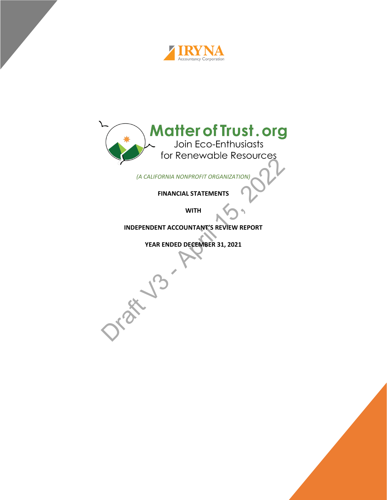



*(A CALIFORNIA NONPROFIT ORGANIZATION)* 

**FINANCIAL STATEMENTS**

**WITH**

**INDEPENDENT ACCOUNTANT'S REVIEW REPORT** 

**YEAR ENDED DECEMBER 31, 2021**

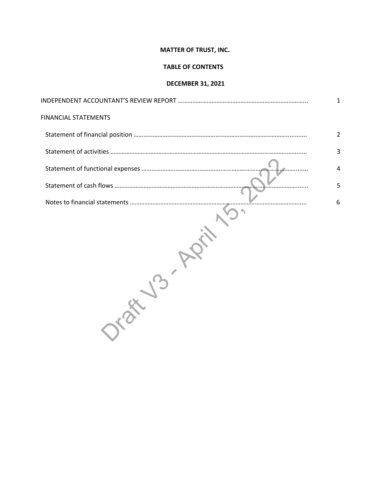# **TABLE OF CONTENTS**

# **DECEMBER 31, 2021**

| <b>FINANCIAL STATEMENTS</b> |   |
|-----------------------------|---|
|                             |   |
|                             | 3 |
|                             | 4 |
|                             | 5 |
|                             | 6 |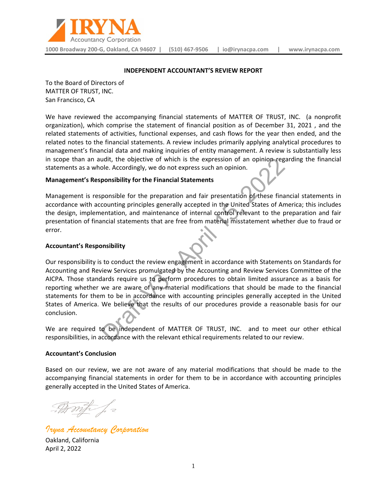

#### **INDEPENDENT ACCOUNTANT'S REVIEW REPORT**

To the Board of Directors of MATTER OF TRUST, INC. San Francisco, CA

We have reviewed the accompanying financial statements of MATTER OF TRUST, INC. (a nonprofit organization), which comprise the statement of financial position as of December 31, 2021 , and the related statements of activities, functional expenses, and cash flows for the year then ended, and the related notes to the financial statements. A review includes primarily applying analytical procedures to management's financial data and making inquiries of entity management. A review is substantially less in scope than an audit, the objective of which is the expression of an opinion regarding the financial statements as a whole. Accordingly, we do not express such an opinion.

#### **Management's Responsibility for the Financial Statements**

Management is responsible for the preparation and fair presentation of these financial statements in accordance with accounting principles generally accepted in the United States of America; this includes the design, implementation, and maintenance of internal control relevant to the preparation and fair presentation of financial statements that are free from material misstatement whether due to fraud or error.

#### **Accountant's Responsibility**

Our responsibility is to conduct the review engagement in accordance with Statements on Standards for Accounting and Review Services promulgated by the Accounting and Review Services Committee of the AICPA. Those standards require us to perform procedures to obtain limited assurance as a basis for reporting whether we are aware of any material modifications that should be made to the financial statements for them to be in accordance with accounting principles generally accepted in the United States of America. We believe that the results of our procedures provide a reasonable basis for our conclusion.

We are required to be independent of MATTER OF TRUST, INC. and to meet our other ethical responsibilities, in accordance with the relevant ethical requirements related to our review.

#### **Accountant's Conclusion**

Based on our review, we are not aware of any material modifications that should be made to the accompanying financial statements in order for them to be in accordance with accounting principles generally accepted in the United States of America.

- Amp J =

*Iryna Accountancy Corporation*

Oakland, California April 2, 2022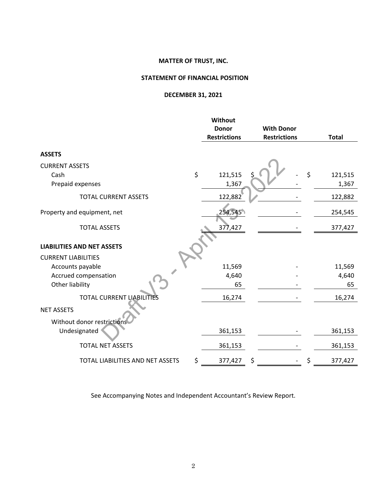# **STATEMENT OF FINANCIAL POSITION**

# **DECEMBER 31, 2021**

|                                   | <b>Without</b><br><b>Donor</b> | <b>With Donor</b>   |               |
|-----------------------------------|--------------------------------|---------------------|---------------|
|                                   | <b>Restrictions</b>            | <b>Restrictions</b> | <b>Total</b>  |
| <b>ASSETS</b>                     |                                |                     |               |
| <b>CURRENT ASSETS</b>             |                                |                     |               |
| Cash                              | \$<br>121,515                  | \$                  | \$<br>121,515 |
| Prepaid expenses                  | 1,367                          |                     | 1,367         |
| <b>TOTAL CURRENT ASSETS</b>       | 122,882                        |                     | 122,882       |
| Property and equipment, net       | 254,545                        |                     | 254,545       |
| <b>TOTAL ASSETS</b>               | 377,427                        |                     | 377,427       |
| <b>LIABILITIES AND NET ASSETS</b> |                                |                     |               |
| <b>CURRENT LIABILITIES</b>        |                                |                     |               |
| Accounts payable                  | 11,569                         |                     | 11,569        |
| Accrued compensation              | 4,640                          |                     | 4,640         |
| Other liability                   | 65                             |                     | 65            |
| <b>TOTAL CURRENT LIABILITIES</b>  | 16,274                         |                     | 16,274        |
| <b>NET ASSETS</b>                 |                                |                     |               |
| Without donor restrictions        |                                |                     |               |
| Undesignated                      | 361,153                        |                     | 361,153       |
| <b>TOTAL NET ASSETS</b>           | 361,153                        |                     | 361,153       |
| TOTAL LIABILITIES AND NET ASSETS  | \$<br>377,427                  | \$                  | \$<br>377,427 |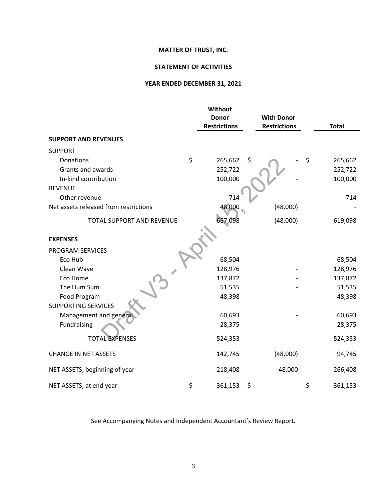# **STATEMENT OF ACTIVITIES**

# **YEAR ENDED DECEMBER 31, 2021**

|                                       | <b>Without</b>                      |                                          |               |
|---------------------------------------|-------------------------------------|------------------------------------------|---------------|
|                                       | <b>Donor</b><br><b>Restrictions</b> | <b>With Donor</b><br><b>Restrictions</b> | <b>Total</b>  |
| <b>SUPPORT AND REVENUES</b>           |                                     |                                          |               |
| <b>SUPPORT</b>                        |                                     |                                          |               |
| Donations                             | \$<br>265,662                       | \$                                       | \$<br>265,662 |
| Grants and awards                     | 252,722                             |                                          | 252,722       |
| In-kind contribution                  | 100,000                             |                                          | 100,000       |
| <b>REVENUE</b>                        |                                     |                                          |               |
| Other revenue                         | 714                                 |                                          | 714           |
| Net assets released from restrictions | 48,000                              | (48,000)                                 |               |
| <b>TOTAL SUPPORT AND REVENUE</b>      | 667,098                             | (48,000)                                 | 619,098       |
| <b>EXPENSES</b>                       |                                     |                                          |               |
| PROGRAM SERVICES                      |                                     |                                          |               |
| Eco Hub                               | 68,504                              |                                          | 68,504        |
| Clean Wave                            | 128,976                             |                                          | 128,976       |
| Eco Home                              | 137,872                             |                                          | 137,872       |
| The Hum Sum                           | 51,535                              |                                          | 51,535        |
| Food Program                          | 48,398                              |                                          | 48,398        |
| <b>SUPPORTING SERVICES</b>            |                                     |                                          |               |
| Management and general                | 60,693                              |                                          | 60,693        |
| Fundraising                           | 28,375                              |                                          | 28,375        |
| <b>TOTAL EXPENSES</b>                 | 524,353                             |                                          | 524,353       |
| <b>CHANGE IN NET ASSETS</b>           | 142,745                             | (48,000)                                 | 94,745        |
| NET ASSETS, beginning of year         | 218,408                             | 48,000                                   | 266,408       |
| NET ASSETS, at end year               | \$<br>361,153                       | \$                                       | \$<br>361,153 |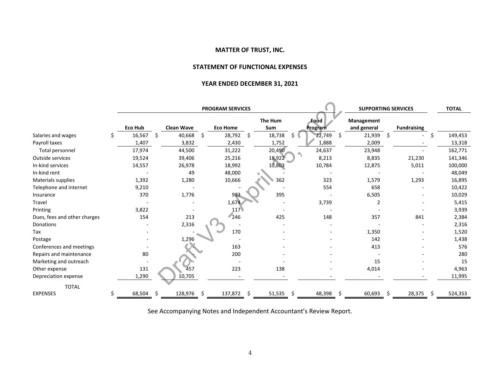## **STATEMENT OF FUNCTIONAL EXPENSES**

## **YEAR ENDED DECEMBER 31, 2021**

|                              |   | <b>PROGRAM SERVICES</b> |    |                   |    |                 | <b>SUPPORTING SERVICES</b> |                | <b>TOTAL</b> |                 |                                  |    |                    |     |         |
|------------------------------|---|-------------------------|----|-------------------|----|-----------------|----------------------------|----------------|--------------|-----------------|----------------------------------|----|--------------------|-----|---------|
|                              |   | Eco Hub                 |    | <b>Clean Wave</b> |    | <b>Eco Home</b> |                            | The Hum<br>Sum |              | Food<br>Program | <b>Management</b><br>and general |    | <b>Fundraising</b> |     |         |
| Salaries and wages           | S | 16,567                  | \$ | 40,668            | \$ | 28,792          | S                          | 18,738         | \$           | 22,749          | \$<br>21,939                     | \$ |                    | S   | 149,453 |
| Payroll taxes                |   | 1,407                   |    | 3,832             |    | 2,430           |                            | 1,752          |              | 1,888           | 2,009                            |    |                    |     | 13,318  |
| Total personnel              |   | 17,974                  |    | 44,500            |    | 31,222          |                            | 20,490         |              | 24,637          | 23,948                           |    |                    |     | 162,771 |
| Outside services             |   | 19,524                  |    | 39,406            |    | 25,216          |                            | 18,922         |              | 8,213           | 8,835                            |    | 21,230             |     | 141,346 |
| In-kind services             |   | 14,557                  |    | 26,978            |    | 18,992          |                            | 10,803         |              | 10,784          | 12,875                           |    | 5,011              |     | 100,000 |
| In-kind rent                 |   |                         |    | 49                |    | 48,000          |                            |                |              |                 |                                  |    |                    |     | 48,049  |
| Materials supplies           |   | 1,392                   |    | 1,280             |    | 10,666          |                            | 362            |              | 323             | 1,579                            |    | 1,293              |     | 16,895  |
| Telephone and internet       |   | 9,210                   |    |                   |    |                 |                            |                |              | 554             | 658                              |    |                    |     | 10,422  |
| Insurance                    |   | 370                     |    | 1,776             |    | 983             |                            | 395            |              |                 | 6,505                            |    |                    |     | 10,029  |
| Travel                       |   |                         |    |                   |    | 1,674           |                            |                |              | 3,739           | 2                                |    |                    |     | 5,415   |
| Printing                     |   | 3,822                   |    |                   |    | 117             |                            |                |              |                 |                                  |    |                    |     | 3,939   |
| Dues, fees and other charges |   | 154                     |    | 213               |    | 246             |                            | 425            |              | 148             | 357                              |    | 841                |     | 2,384   |
| Donations                    |   |                         |    | 2,316             |    |                 |                            |                |              |                 |                                  |    |                    |     | 2,316   |
| Tax                          |   |                         |    |                   |    | 170             |                            |                |              |                 | 1,350                            |    |                    |     | 1,520   |
| Postage                      |   |                         |    | 1,296             |    |                 |                            |                |              |                 | 142                              |    |                    |     | 1,438   |
| Conferences and meetings     |   |                         |    |                   |    | 163             |                            |                |              |                 | 413                              |    |                    |     | 576     |
| Repairs and maintenance      |   | 80                      |    |                   |    | 200             |                            |                |              |                 |                                  |    |                    |     | 280     |
| Marketing and outreach       |   |                         |    |                   |    |                 |                            |                |              |                 | 15                               |    |                    |     | 15      |
| Other expense                |   | 131                     |    | 457               |    | 223             |                            | 138            |              |                 | 4,014                            |    |                    |     | 4,963   |
| Depreciation expense         |   | 1,290                   |    | 10,705            |    |                 |                            |                |              |                 |                                  |    |                    |     | 11,995  |
| <b>TOTAL</b>                 |   |                         |    |                   |    |                 |                            |                |              |                 |                                  |    |                    |     |         |
| <b>EXPENSES</b>              |   | 68,504                  | Ŝ  | 128,976           | S. | 137,872         | Ŝ                          | 51,535         | Ŝ.           | 48,398          | \$<br>60,693                     | Ŝ  | 28,375             | -\$ | 524,353 |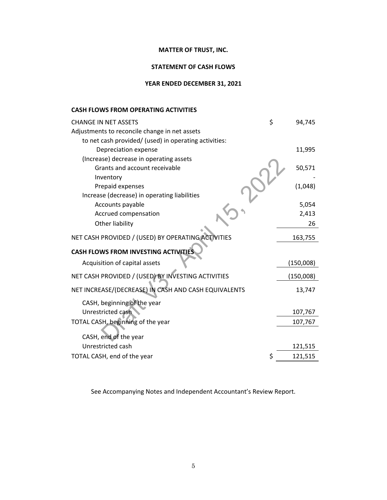# **STATEMENT OF CASH FLOWS**

# **YEAR ENDED DECEMBER 31, 2021**

# **CASH FLOWS FROM OPERATING ACTIVITIES**

| <b>CHANGE IN NET ASSETS</b>                           | \$<br>94,745  |
|-------------------------------------------------------|---------------|
| Adjustments to reconcile change in net assets         |               |
| to net cash provided/ (used) in operating activities: |               |
| Depreciation expense                                  | 11,995        |
| (Increase) decrease in operating assets               |               |
| Grants and account receivable                         | 50,571        |
| Inventory                                             |               |
| Prepaid expenses                                      | (1,048)       |
| Increase (decrease) in operating liabilities          |               |
| Accounts payable                                      | 5,054         |
| Accrued compensation                                  | 2,413         |
| Other liability                                       | 26            |
| NET CASH PROVIDED / (USED) BY OPERATING ACTIVITIES    | 163,755       |
| <b>CASH FLOWS FROM INVESTING ACTIVITIES</b>           |               |
| Acquisition of capital assets                         | (150,008)     |
| NET CASH PROVIDED / (USED) BY INVESTING ACTIVITIES    | (150,008)     |
| NET INCREASE/(DECREASE) IN CASH AND CASH EQUIVALENTS  | 13,747        |
| CASH, beginning of the year                           |               |
| Unrestricted cash                                     | 107,767       |
| TOTAL CASH, beginning of the year                     | 107,767       |
| CASH, end of the year                                 |               |
| Unrestricted cash                                     | 121,515       |
| TOTAL CASH, end of the year                           | \$<br>121,515 |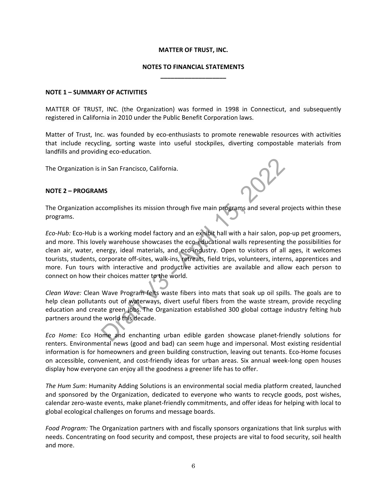# **NOTES TO FINANCIAL STATEMENTS \_\_\_\_\_\_\_\_\_\_\_\_\_\_\_\_\_\_\_**

#### **NOTE 1 – SUMMARY OF ACTIVITIES**

MATTER OF TRUST, INC. (the Organization) was formed in 1998 in Connecticut, and subsequently registered in California in 2010 under the Public Benefit Corporation laws.

Matter of Trust, Inc. was founded by eco-enthusiasts to promote renewable resources with activities that include recycling, sorting waste into useful stockpiles, diverting compostable materials from landfills and providing eco-education.

The Organization is in San Francisco, California.

## **NOTE 2 – PROGRAMS**

The Organization accomplishes its mission through five main programs and several projects within these programs.

*Eco-Hub:* Eco-Hub is a working model factory and an exhibit hall with a hair salon, pop-up pet groomers, and more. This lovely warehouse showcases the eco-educational walls representing the possibilities for clean air, water, energy, ideal materials, and eco-industry. Open to visitors of all ages, it welcomes tourists, students, corporate off-sites, walk-ins, retreats, field trips, volunteers, interns, apprentices and more. Fun tours with interactive and productive activities are available and allow each person to connect on how their choices matter to the world.

*Clean Wave:* Clean Wave Program felts waste fibers into mats that soak up oil spills. The goals are to help clean pollutants out of waterways, divert useful fibers from the waste stream, provide recycling education and create green jobs. The Organization established 300 global cottage industry felting hub partners around the world this decade.

*Eco Home:* Eco Home and enchanting urban edible garden showcase planet-friendly solutions for renters. Environmental news (good and bad) can seem huge and impersonal. Most existing residential information is for homeowners and green building construction, leaving out tenants. Eco-Home focuses on accessible, convenient, and cost-friendly ideas for urban areas. Six annual week-long open houses display how everyone can enjoy all the goodness a greener life has to offer.

*The Hum Sum*: Humanity Adding Solutions is an environmental social media platform created, launched and sponsored by the Organization, dedicated to everyone who wants to recycle goods, post wishes, calendar zero-waste events, make planet-friendly commitments, and offer ideas for helping with local to global ecological challenges on forums and message boards.

*Food Program:* The Organization partners with and fiscally sponsors organizations that link surplus with needs. Concentrating on food security and compost, these projects are vital to food security, soil health and more.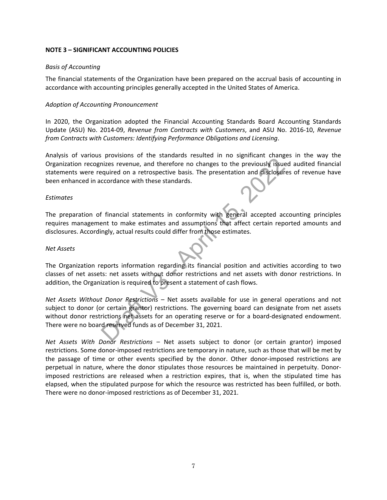# **NOTE 3 – SIGNIFICANT ACCOUNTING POLICIES**

# *Basis of Accounting*

The financial statements of the Organization have been prepared on the accrual basis of accounting in accordance with accounting principles generally accepted in the United States of America.

## *Adoption of Accounting Pronouncement*

In 2020, the Organization adopted the Financial Accounting Standards Board Accounting Standards Update (ASU) No. 2014-09, *Revenue from Contracts with Customers*, and ASU No. 2016-10, *Revenue from Contracts with Customers: Identifying Performance Obligations and Licensing*.

Analysis of various provisions of the standards resulted in no significant changes in the way the Organization recognizes revenue, and therefore no changes to the previously issued audited financial statements were required on a retrospective basis. The presentation and disclosures of revenue have been enhanced in accordance with these standards.

## *Estimates*

The preparation of financial statements in conformity with general accepted accounting principles requires management to make estimates and assumptions that affect certain reported amounts and disclosures. Accordingly, actual results could differ from those estimates.

#### *Net Assets*

The Organization reports information regarding its financial position and activities according to two classes of net assets: net assets without donor restrictions and net assets with donor restrictions. In addition, the Organization is required to present a statement of cash flows.

*Net Assets Without Donor Restrictions* – Net assets available for use in general operations and not subject to donor (or certain grantor) restrictions. The governing board can designate from net assets without donor restrictions net assets for an operating reserve or for a board-designated endowment. There were no board reserved funds as of December 31, 2021.

*Net Assets With Donor Restrictions* – Net assets subject to donor (or certain grantor) imposed restrictions. Some donor-imposed restrictions are temporary in nature, such as those that will be met by the passage of time or other events specified by the donor. Other donor-imposed restrictions are perpetual in nature, where the donor stipulates those resources be maintained in perpetuity. Donorimposed restrictions are released when a restriction expires, that is, when the stipulated time has elapsed, when the stipulated purpose for which the resource was restricted has been fulfilled, or both. There were no donor-imposed restrictions as of December 31, 2021.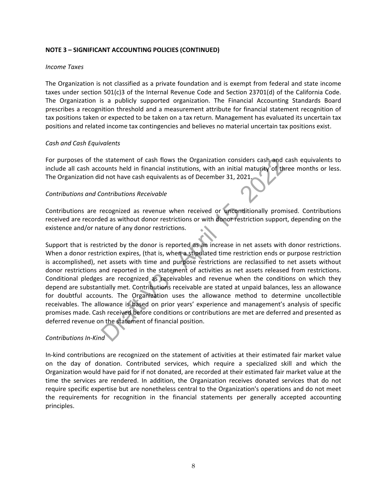# **NOTE 3 – SIGNIFICANT ACCOUNTING POLICIES (CONTINUED)**

## *Income Taxes*

The Organization is not classified as a private foundation and is exempt from federal and state income taxes under section 501(c)3 of the Internal Revenue Code and Section 23701(d) of the California Code. The Organization is a publicly supported organization. The Financial Accounting Standards Board prescribes a recognition threshold and a measurement attribute for financial statement recognition of tax positions taken or expected to be taken on a tax return. Management has evaluated its uncertain tax positions and related income tax contingencies and believes no material uncertain tax positions exist.

# *Cash and Cash Equivalents*

For purposes of the statement of cash flows the Organization considers cash and cash equivalents to include all cash accounts held in financial institutions, with an initial maturity of three months or less. The Organization did not have cash equivalents as of December 31, 2021.

# *Contributions and Contributions Receivable*

Contributions are recognized as revenue when received or unconditionally promised. Contributions received are recorded as without donor restrictions or with donor restriction support, depending on the existence and/or nature of any donor restrictions.

Support that is restricted by the donor is reported as an increase in net assets with donor restrictions. When a donor restriction expires, (that is, when a stipulated time restriction ends or purpose restriction is accomplished), net assets with time and purpose restrictions are reclassified to net assets without donor restrictions and reported in the statement of activities as net assets released from restrictions. Conditional pledges are recognized as receivables and revenue when the conditions on which they depend are substantially met. Contributions receivable are stated at unpaid balances, less an allowance for doubtful accounts. The Organization uses the allowance method to determine uncollectible receivables. The allowance is based on prior years' experience and management's analysis of specific promises made. Cash received before conditions or contributions are met are deferred and presented as deferred revenue on the statement of financial position.

# *Contributions In-Kind*

In-kind contributions are recognized on the statement of activities at their estimated fair market value on the day of donation. Contributed services, which require a specialized skill and which the Organization would have paid for if not donated, are recorded at their estimated fair market value at the time the services are rendered. In addition, the Organization receives donated services that do not require specific expertise but are nonetheless central to the Organization's operations and do not meet the requirements for recognition in the financial statements per generally accepted accounting principles.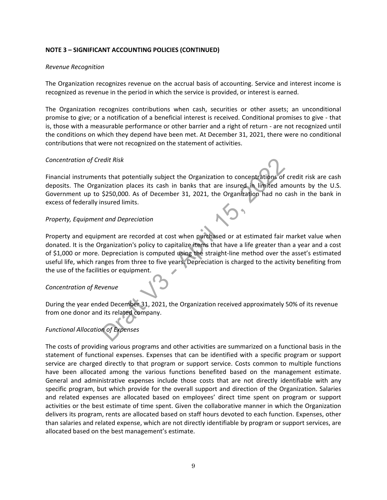# **NOTE 3 – SIGNIFICANT ACCOUNTING POLICIES (CONTINUED)**

## *Revenue Recognition*

The Organization recognizes revenue on the accrual basis of accounting. Service and interest income is recognized as revenue in the period in which the service is provided, or interest is earned.

The Organization recognizes contributions when cash, securities or other assets; an unconditional promise to give; or a notification of a beneficial interest is received. Conditional promises to give - that is, those with a measurable performance or other barrier and a right of return - are not recognized until the conditions on which they depend have been met. At December 31, 2021, there were no conditional contributions that were not recognized on the statement of activities.

## *Concentration of Credit Risk*

Financial instruments that potentially subject the Organization to concentrations of credit risk are cash deposits. The Organization places its cash in banks that are insured in limited amounts by the U.S. Government up to \$250,000. As of December 31, 2021, the Organization had no cash in the bank in excess of federally insured limits.

## *Property, Equipment and Depreciation*

Property and equipment are recorded at cost when purchased or at estimated fair market value when donated. It is the Organization's policy to capitalize items that have a life greater than a year and a cost of \$1,000 or more. Depreciation is computed using the straight-line method over the asset's estimated useful life, which ranges from three to five years. Depreciation is charged to the activity benefiting from the use of the facilities or equipment.

# *Concentration of Revenue*

During the year ended December 31, 2021, the Organization received approximately 50% of its revenue from one donor and its related company.

# *Functional Allocation of Expenses*

The costs of providing various programs and other activities are summarized on a functional basis in the statement of functional expenses. Expenses that can be identified with a specific program or support service are charged directly to that program or support service. Costs common to multiple functions have been allocated among the various functions benefited based on the management estimate. General and administrative expenses include those costs that are not directly identifiable with any specific program, but which provide for the overall support and direction of the Organization. Salaries and related expenses are allocated based on employees' direct time spent on program or support activities or the best estimate of time spent. Given the collaborative manner in which the Organization delivers its program, rents are allocated based on staff hours devoted to each function. Expenses, other than salaries and related expense, which are not directly identifiable by program or support services, are allocated based on the best management's estimate.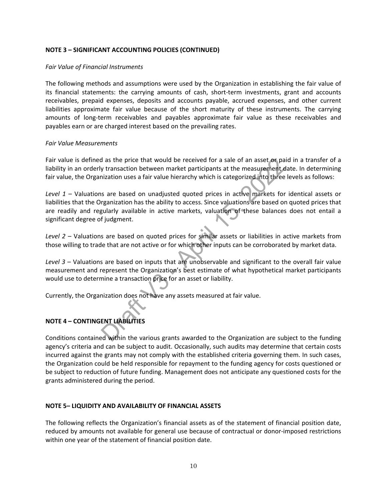# **NOTE 3 – SIGNIFICANT ACCOUNTING POLICIES (CONTINUED)**

#### *Fair Value of Financial Instruments*

The following methods and assumptions were used by the Organization in establishing the fair value of its financial statements: the carrying amounts of cash, short-term investments, grant and accounts receivables, prepaid expenses, deposits and accounts payable, accrued expenses, and other current liabilities approximate fair value because of the short maturity of these instruments. The carrying amounts of long-term receivables and payables approximate fair value as these receivables and payables earn or are charged interest based on the prevailing rates.

## *Fair Value Measurements*

Fair value is defined as the price that would be received for a sale of an asset or paid in a transfer of a liability in an orderly transaction between market participants at the measurement date. In determining fair value, the Organization uses a fair value hierarchy which is categorized into three levels as follows:

*Level 1* – Valuations are based on unadjusted quoted prices in active markets for identical assets or liabilities that the Organization has the ability to access. Since valuations are based on quoted prices that are readily and regularly available in active markets, valuation of these balances does not entail a significant degree of judgment.

*Level 2* – Valuations are based on quoted prices for similar assets or liabilities in active markets from those willing to trade that are not active or for which other inputs can be corroborated by market data.

*Level 3* – Valuations are based on inputs that are unobservable and significant to the overall fair value measurement and represent the Organization's best estimate of what hypothetical market participants would use to determine a transaction price for an asset or liability.

Currently, the Organization does not have any assets measured at fair value.

# **NOTE 4 – CONTINGENT LIABILITIES**

Conditions contained within the various grants awarded to the Organization are subject to the funding agency's criteria and can be subject to audit. Occasionally, such audits may determine that certain costs incurred against the grants may not comply with the established criteria governing them. In such cases, the Organization could be held responsible for repayment to the funding agency for costs questioned or be subject to reduction of future funding. Management does not anticipate any questioned costs for the grants administered during the period.

# **NOTE 5– LIQUIDITY AND AVAILABILITY OF FINANCIAL ASSETS**

The following reflects the Organization's financial assets as of the statement of financial position date, reduced by amounts not available for general use because of contractual or donor-imposed restrictions within one year of the statement of financial position date.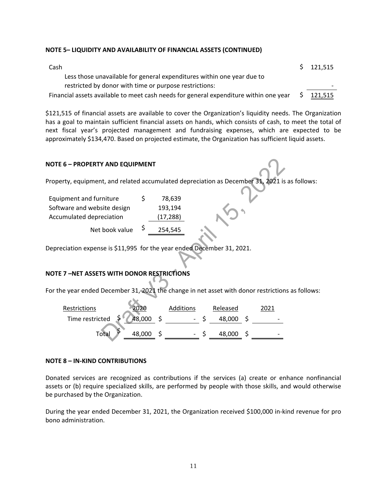## **NOTE 5– LIQUIDITY AND AVAILABILITY OF FINANCIAL ASSETS (CONTINUED)**

| Cash                                                                                  | \$121,515      |
|---------------------------------------------------------------------------------------|----------------|
| Less those unavailable for general expenditures within one year due to                |                |
| restricted by donor with time or purpose restrictions:                                |                |
| Financial assets available to meet cash needs for general expenditure within one year | <u>121,515</u> |

\$121,515 of financial assets are available to cover the Organization's liquidity needs. The Organization has a goal to maintain sufficient financial assets on hands, which consists of cash, to meet the total of next fiscal year's projected management and fundraising expenses, which are expected to be approximately \$134,470. Based on projected estimate, the Organization has sufficient liquid assets.

## **NOTE 6 – PROPERTY AND EQUIPMENT**

Property, equipment, and related accumulated depreciation as December 31, 2021 is as follows:

| Equipment and furniture     | S  | 78,639    |
|-----------------------------|----|-----------|
| Software and website design |    | 193,194   |
| Accumulated depreciation    |    | (17, 288) |
| Net book value              | \$ | 254,545   |

Depreciation expense is \$11,995 for the year ended December 31, 2021.

#### **NOTE 7 –NET ASSETS WITH DONOR RESTRICTIONS**

For the year ended December 31, 2021 the change in net asset with donor restrictions as follows:

| Restrictions                            | 2020   | Additions | Released  |                          |
|-----------------------------------------|--------|-----------|-----------|--------------------------|
| Time restricted $\frac{5}{7}$ 48,000 \$ |        |           | 48,000 \$ | $\overline{\phantom{0}}$ |
| Total <sup>&gt;</sup>                   | 48,000 |           | 48,000    | $\overline{\phantom{0}}$ |

### **NOTE 8 – IN-KIND CONTRIBUTIONS**

Donated services are recognized as contributions if the services (a) create or enhance nonfinancial assets or (b) require specialized skills, are performed by people with those skills, and would otherwise be purchased by the Organization.

During the year ended December 31, 2021, the Organization received \$100,000 in-kind revenue for pro bono administration.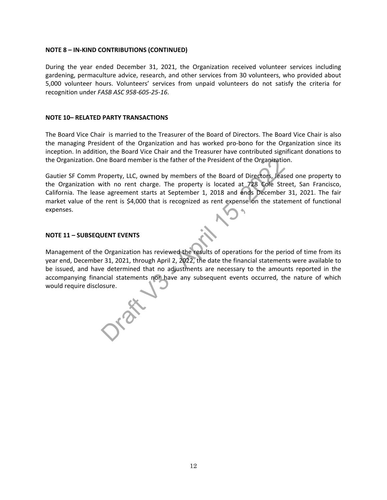## **NOTE 8 – IN-KIND CONTRIBUTIONS (CONTINUED)**

During the year ended December 31, 2021, the Organization received volunteer services including gardening, permaculture advice, research, and other services from 30 volunteers, who provided about 5,000 volunteer hours. Volunteers' services from unpaid volunteers do not satisfy the criteria for recognition under *FASB ASC 958-605-25-16*.

#### **NOTE 10– RELATED PARTY TRANSACTIONS**

The Board Vice Chair is married to the Treasurer of the Board of Directors. The Board Vice Chair is also the managing President of the Organization and has worked pro-bono for the Organization since its inception. In addition, the Board Vice Chair and the Treasurer have contributed significant donations to the Organization. One Board member is the father of the President of the Organization.

Gautier SF Comm Property, LLC, owned by members of the Board of Directors, leased one property to the Organization with no rent charge. The property is located at 728 Cole Street, San Francisco, California. The lease agreement starts at September 1, 2018 and ends December 31, 2021. The fair market value of the rent is \$4,000 that is recognized as rent expense on the statement of functional expenses.

## **NOTE 11 – SUBSEQUENT EVENTS**

Management of the Organization has reviewed the results of operations for the period of time from its year end, December 31, 2021, through April 2, 2022, the date the financial statements were available to be issued, and have determined that no adjustments are necessary to the amounts reported in the accompanying financial statements nor have any subsequent events occurred, the nature of which would require disclosure.